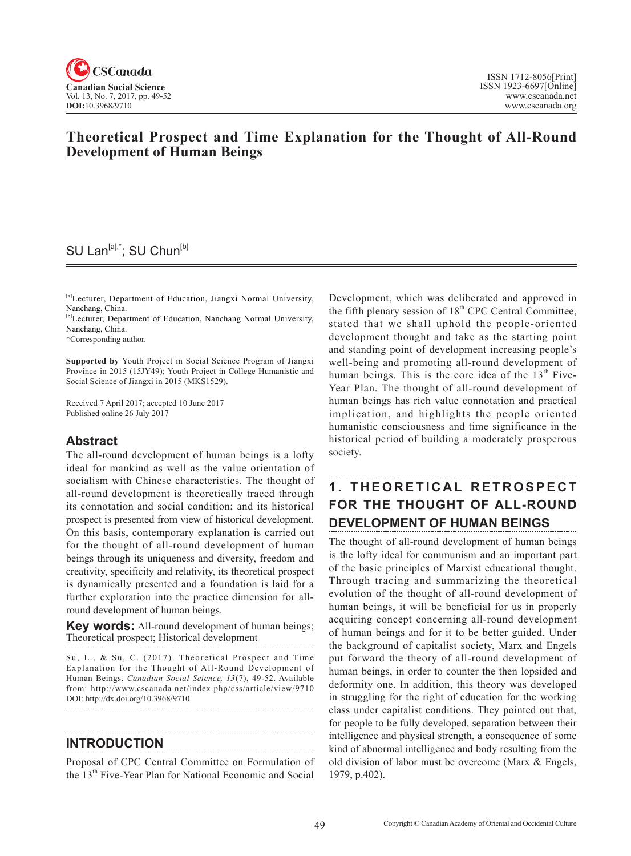

### **Theoretical Prospect and Time Explanation for the Thought of All-Round Development of Human Beings**

## SU Lan<sup>[a],\*</sup>; SU Chun<sup>[b]</sup>

[a]Lecturer, Department of Education, Jiangxi Normal University, Nanchang, China.

[b]Lecturer, Department of Education, Nanchang Normal University, Nanchang, China.

\*Corresponding author.

**Supported by** Youth Project in Social Science Program of Jiangxi Province in 2015 (15JY49); Youth Project in College Humanistic and Social Science of Jiangxi in 2015 (MKS1529).

Received 7 April 2017; accepted 10 June 2017 Published online 26 July 2017

### **Abstract**

The all-round development of human beings is a lofty ideal for mankind as well as the value orientation of socialism with Chinese characteristics. The thought of all-round development is theoretically traced through its connotation and social condition; and its historical prospect is presented from view of historical development. On this basis, contemporary explanation is carried out for the thought of all-round development of human beings through its uniqueness and diversity, freedom and creativity, specificity and relativity, its theoretical prospect is dynamically presented and a foundation is laid for a further exploration into the practice dimension for allround development of human beings.

**Key words:** All-round development of human beings; Theoretical prospect; Historical development

Su, L., & Su, C. (2017). Theoretical Prospect and Time Explanation for the Thought of All-Round Development of Human Beings. *Canadian Social Science*, 13(7), 49-52. Available from: http://www.cscanada.net/index.php/css/article/view/9710 DOI: http://dx.doi.org/10.3968/9710 

#### **INTRODUCTION**

Proposal of CPC Central Committee on Formulation of the 13<sup>th</sup> Five-Year Plan for National Economic and Social

Development, which was deliberated and approved in the fifth plenary session of  $18<sup>th</sup>$  CPC Central Committee, stated that we shall uphold the people-oriented development thought and take as the starting point and standing point of development increasing people's well-being and promoting all-round development of human beings. This is the core idea of the  $13<sup>th</sup>$  Five-Year Plan. The thought of all-round development of human beings has rich value connotation and practical implication, and highlights the people oriented humanistic consciousness and time significance in the historical period of building a moderately prosperous society.

# **1 . T H E O R E T I C A L R E T R O S P E C T FOR THE THOUGHT OF ALL-ROUND DEVELOPMENT OF HUMAN BEINGS**

The thought of all-round development of human beings is the lofty ideal for communism and an important part of the basic principles of Marxist educational thought. Through tracing and summarizing the theoretical evolution of the thought of all-round development of human beings, it will be beneficial for us in properly acquiring concept concerning all-round development of human beings and for it to be better guided. Under the background of capitalist society, Marx and Engels put forward the theory of all-round development of human beings, in order to counter the then lopsided and deformity one. In addition, this theory was developed in struggling for the right of education for the working class under capitalist conditions. They pointed out that, for people to be fully developed, separation between their intelligence and physical strength, a consequence of some kind of abnormal intelligence and body resulting from the old division of labor must be overcome (Marx & Engels, 1979, p.402).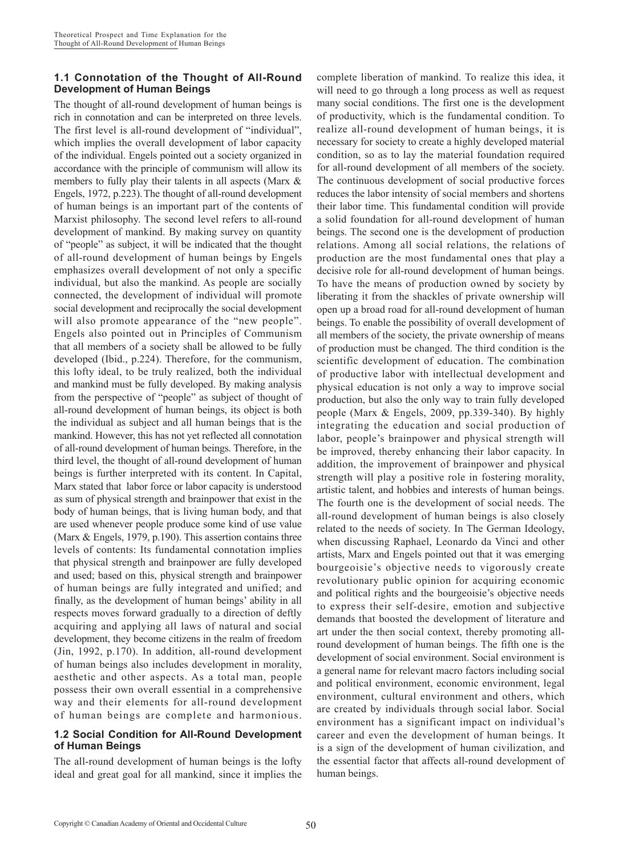### **1.1 Connotation of the Thought of All-Round Development of Human Beings**

The thought of all-round development of human beings is rich in connotation and can be interpreted on three levels. The first level is all-round development of "individual", which implies the overall development of labor capacity of the individual. Engels pointed out a society organized in accordance with the principle of communism will allow its members to fully play their talents in all aspects (Marx & Engels, 1972, p.223).The thought of all-round development of human beings is an important part of the contents of Marxist philosophy. The second level refers to all-round development of mankind. By making survey on quantity of "people" as subject, it will be indicated that the thought of all-round development of human beings by Engels emphasizes overall development of not only a specific individual, but also the mankind. As people are socially connected, the development of individual will promote social development and reciprocally the social development will also promote appearance of the "new people". Engels also pointed out in Principles of Communism that all members of a society shall be allowed to be fully developed (Ibid., p.224). Therefore, for the communism, this lofty ideal, to be truly realized, both the individual and mankind must be fully developed. By making analysis from the perspective of "people" as subject of thought of all-round development of human beings, its object is both the individual as subject and all human beings that is the mankind. However, this has not yet reflected all connotation of all-round development of human beings. Therefore, in the third level, the thought of all-round development of human beings is further interpreted with its content. In Capital, Marx stated that labor force or labor capacity is understood as sum of physical strength and brainpower that exist in the body of human beings, that is living human body, and that are used whenever people produce some kind of use value (Marx & Engels, 1979, p.190). This assertion contains three levels of contents: Its fundamental connotation implies that physical strength and brainpower are fully developed and used; based on this, physical strength and brainpower of human beings are fully integrated and unified; and finally, as the development of human beings' ability in all respects moves forward gradually to a direction of deftly acquiring and applying all laws of natural and social development, they become citizens in the realm of freedom (Jin, 1992, p.170). In addition, all-round development of human beings also includes development in morality, aesthetic and other aspects. As a total man, people possess their own overall essential in a comprehensive way and their elements for all-round development of human beings are complete and harmonious.

### **1.2 Social Condition for All-Round Development of Human Beings**

The all-round development of human beings is the lofty ideal and great goal for all mankind, since it implies the complete liberation of mankind. To realize this idea, it will need to go through a long process as well as request many social conditions. The first one is the development of productivity, which is the fundamental condition. To realize all-round development of human beings, it is necessary for society to create a highly developed material condition, so as to lay the material foundation required for all-round development of all members of the society. The continuous development of social productive forces reduces the labor intensity of social members and shortens their labor time. This fundamental condition will provide a solid foundation for all-round development of human beings. The second one is the development of production relations. Among all social relations, the relations of production are the most fundamental ones that play a decisive role for all-round development of human beings. To have the means of production owned by society by liberating it from the shackles of private ownership will open up a broad road for all-round development of human beings. To enable the possibility of overall development of all members of the society, the private ownership of means of production must be changed. The third condition is the scientific development of education. The combination of productive labor with intellectual development and physical education is not only a way to improve social production, but also the only way to train fully developed people (Marx & Engels, 2009, pp.339-340). By highly integrating the education and social production of labor, people's brainpower and physical strength will be improved, thereby enhancing their labor capacity. In addition, the improvement of brainpower and physical strength will play a positive role in fostering morality, artistic talent, and hobbies and interests of human beings. The fourth one is the development of social needs. The all-round development of human beings is also closely related to the needs of society. In The German Ideology, when discussing Raphael, Leonardo da Vinci and other artists, Marx and Engels pointed out that it was emerging bourgeoisie's objective needs to vigorously create revolutionary public opinion for acquiring economic and political rights and the bourgeoisie's objective needs to express their self-desire, emotion and subjective demands that boosted the development of literature and art under the then social context, thereby promoting allround development of human beings. The fifth one is the development of social environment. Social environment is a general name for relevant macro factors including social and political environment, economic environment, legal environment, cultural environment and others, which are created by individuals through social labor. Social environment has a significant impact on individual's career and even the development of human beings. It is a sign of the development of human civilization, and the essential factor that affects all-round development of human beings.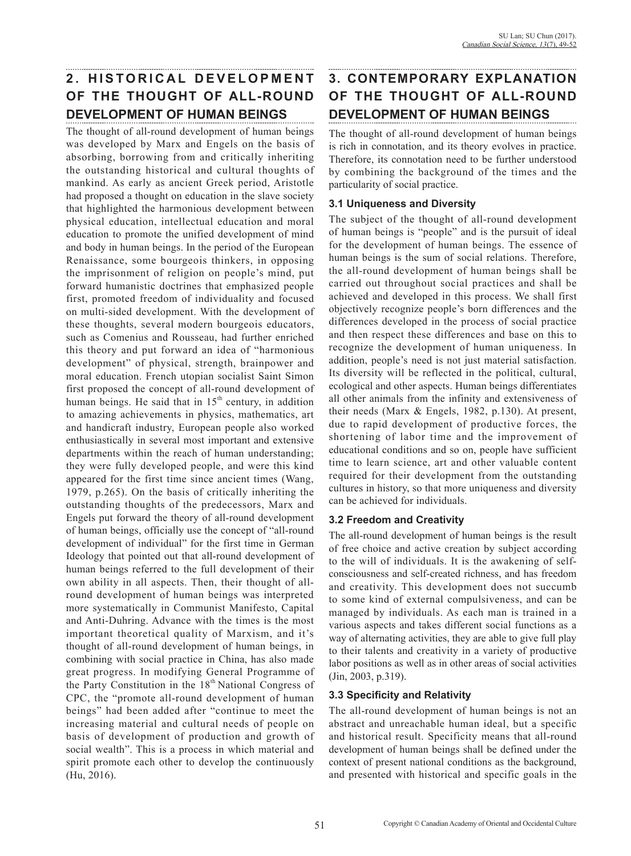# 2. HISTORICAL DEVELOPMENT **OF THE THOUGHT OF ALL-ROUND DEVELOPMENT OF HUMAN BEINGS**

The thought of all-round development of human beings was developed by Marx and Engels on the basis of absorbing, borrowing from and critically inheriting the outstanding historical and cultural thoughts of mankind. As early as ancient Greek period, Aristotle had proposed a thought on education in the slave society that highlighted the harmonious development between physical education, intellectual education and moral education to promote the unified development of mind and body in human beings. In the period of the European Renaissance, some bourgeois thinkers, in opposing the imprisonment of religion on people's mind, put forward humanistic doctrines that emphasized people first, promoted freedom of individuality and focused on multi-sided development. With the development of these thoughts, several modern bourgeois educators, such as Comenius and Rousseau, had further enriched this theory and put forward an idea of "harmonious development" of physical, strength, brainpower and moral education. French utopian socialist Saint Simon first proposed the concept of all-round development of human beings. He said that in  $15<sup>th</sup>$  century, in addition to amazing achievements in physics, mathematics, art and handicraft industry, European people also worked enthusiastically in several most important and extensive departments within the reach of human understanding; they were fully developed people, and were this kind appeared for the first time since ancient times (Wang, 1979, p.265). On the basis of critically inheriting the outstanding thoughts of the predecessors, Marx and Engels put forward the theory of all-round development of human beings, officially use the concept of "all-round development of individual" for the first time in German Ideology that pointed out that all-round development of human beings referred to the full development of their own ability in all aspects. Then, their thought of allround development of human beings was interpreted more systematically in Communist Manifesto, Capital and Anti-Duhring. Advance with the times is the most important theoretical quality of Marxism, and it's thought of all-round development of human beings, in combining with social practice in China, has also made great progress. In modifying General Programme of the Party Constitution in the  $18<sup>th</sup>$  National Congress of CPC, the "promote all-round development of human beings" had been added after "continue to meet the increasing material and cultural needs of people on basis of development of production and growth of social wealth". This is a process in which material and spirit promote each other to develop the continuously (Hu, 2016).

# **3. CONTEMPORARY EXPLANATION OF THE THOUGHT OF ALL-ROUND DEVELOPMENT OF HUMAN BEINGS**

The thought of all-round development of human beings is rich in connotation, and its theory evolves in practice. Therefore, its connotation need to be further understood by combining the background of the times and the particularity of social practice.

### **3.1 Uniqueness and Diversity**

The subject of the thought of all-round development of human beings is "people" and is the pursuit of ideal for the development of human beings. The essence of human beings is the sum of social relations. Therefore, the all-round development of human beings shall be carried out throughout social practices and shall be achieved and developed in this process. We shall first objectively recognize people's born differences and the differences developed in the process of social practice and then respect these differences and base on this to recognize the development of human uniqueness. In addition, people's need is not just material satisfaction. Its diversity will be reflected in the political, cultural, ecological and other aspects. Human beings differentiates all other animals from the infinity and extensiveness of their needs (Marx & Engels, 1982, p.130). At present, due to rapid development of productive forces, the shortening of labor time and the improvement of educational conditions and so on, people have sufficient time to learn science, art and other valuable content required for their development from the outstanding cultures in history, so that more uniqueness and diversity can be achieved for individuals.

### **3.2 Freedom and Creativity**

The all-round development of human beings is the result of free choice and active creation by subject according to the will of individuals. It is the awakening of selfconsciousness and self-created richness, and has freedom and creativity. This development does not succumb to some kind of external compulsiveness, and can be managed by individuals. As each man is trained in a various aspects and takes different social functions as a way of alternating activities, they are able to give full play to their talents and creativity in a variety of productive labor positions as well as in other areas of social activities (Jin, 2003, p.319).

### **3.3 Specificity and Relativity**

The all-round development of human beings is not an abstract and unreachable human ideal, but a specific and historical result. Specificity means that all-round development of human beings shall be defined under the context of present national conditions as the background, and presented with historical and specific goals in the